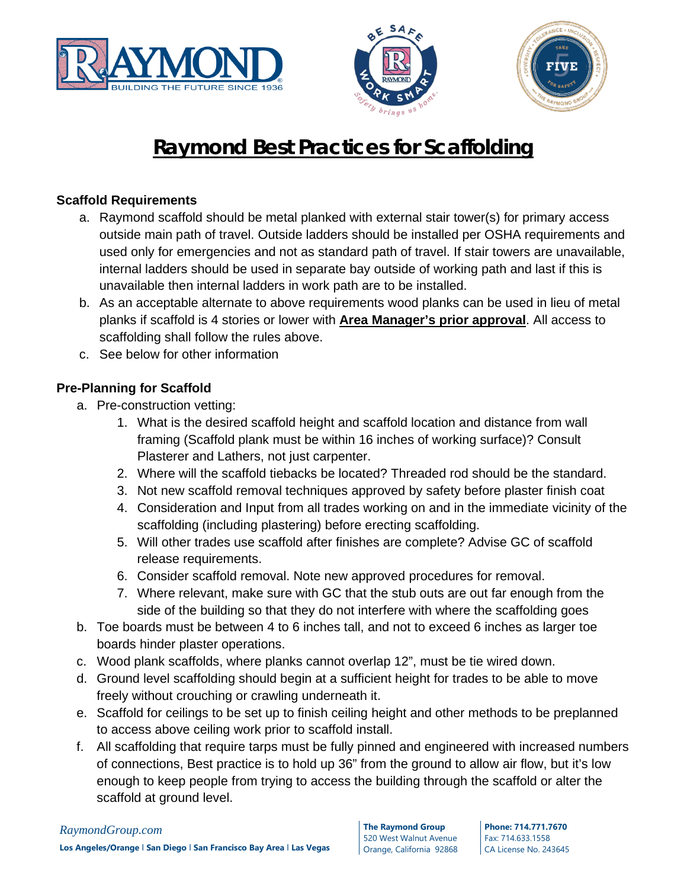





# **Raymond Best Practices for Scaffolding**

# **Scaffold Requirements**

- a. Raymond scaffold should be metal planked with external stair tower(s) for primary access outside main path of travel. Outside ladders should be installed per OSHA requirements and used only for emergencies and not as standard path of travel. If stair towers are unavailable, internal ladders should be used in separate bay outside of working path and last if this is unavailable then internal ladders in work path are to be installed.
- b. As an acceptable alternate to above requirements wood planks can be used in lieu of metal planks if scaffold is 4 stories or lower with **Area Manager's prior approval**. All access to scaffolding shall follow the rules above.
- c. See below for other information

# **Pre-Planning for Scaffold**

- a. Pre-construction vetting:
	- 1. What is the desired scaffold height and scaffold location and distance from wall framing (Scaffold plank must be within 16 inches of working surface)? Consult Plasterer and Lathers, not just carpenter.
	- 2. Where will the scaffold tiebacks be located? Threaded rod should be the standard.
	- 3. Not new scaffold removal techniques approved by safety before plaster finish coat
	- 4. Consideration and Input from all trades working on and in the immediate vicinity of the scaffolding (including plastering) before erecting scaffolding.
	- 5. Will other trades use scaffold after finishes are complete? Advise GC of scaffold release requirements.
	- 6. Consider scaffold removal. Note new approved procedures for removal.
	- 7. Where relevant, make sure with GC that the stub outs are out far enough from the side of the building so that they do not interfere with where the scaffolding goes
- b. Toe boards must be between 4 to 6 inches tall, and not to exceed 6 inches as larger toe boards hinder plaster operations.
- c. Wood plank scaffolds, where planks cannot overlap 12", must be tie wired down.
- d. Ground level scaffolding should begin at a sufficient height for trades to be able to move freely without crouching or crawling underneath it.
- e. Scaffold for ceilings to be set up to finish ceiling height and other methods to be preplanned to access above ceiling work prior to scaffold install.
- f. All scaffolding that require tarps must be fully pinned and engineered with increased numbers of connections, Best practice is to hold up 36" from the ground to allow air flow, but it's low enough to keep people from trying to access the building through the scaffold or alter the scaffold at ground level.